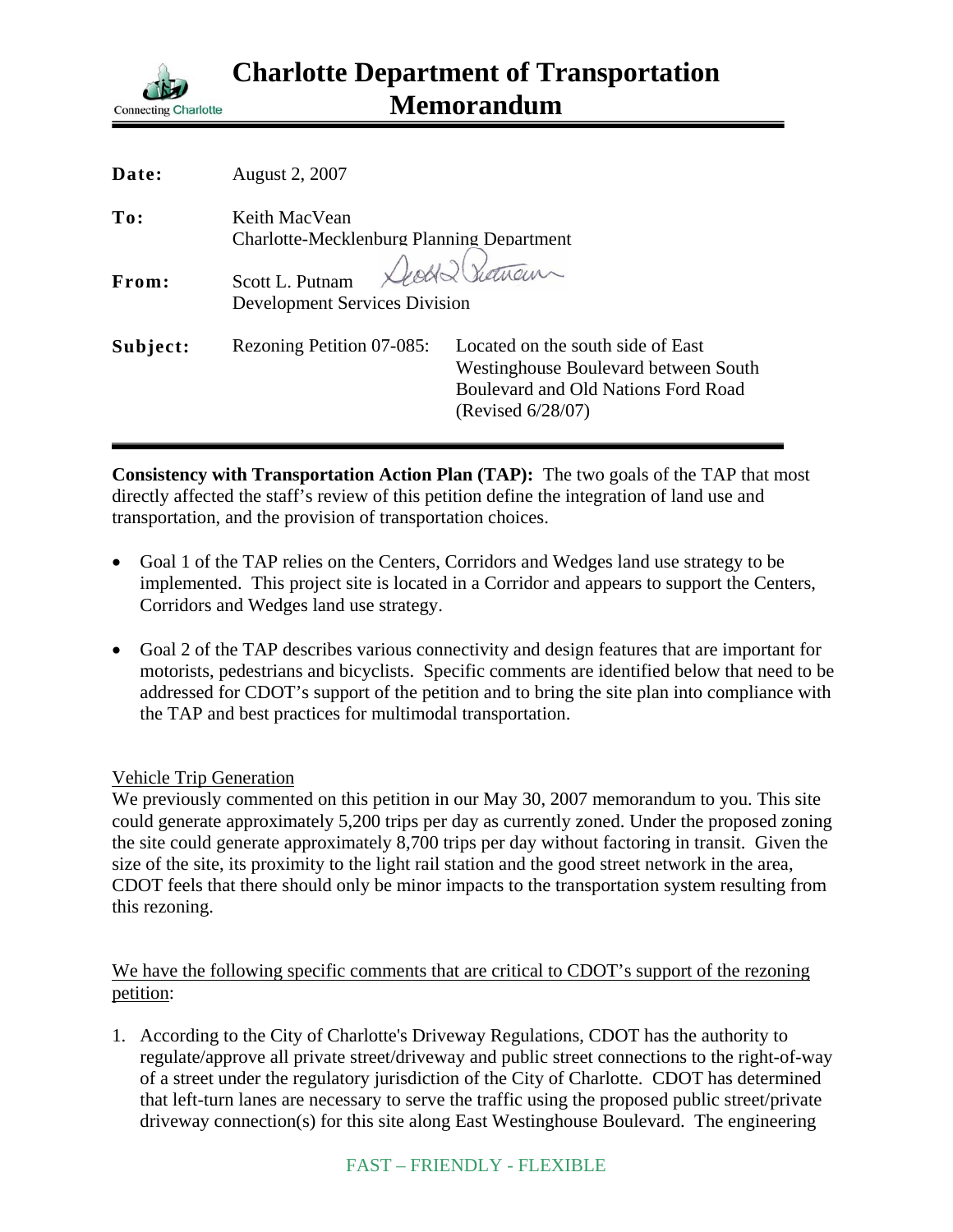

| Date:    | August 2, 2007                                                    |                                                                                                                                                 |
|----------|-------------------------------------------------------------------|-------------------------------------------------------------------------------------------------------------------------------------------------|
| To:      | Keith MacVean<br><b>Charlotte-Mecklenburg Planning Department</b> |                                                                                                                                                 |
| From:    | Scott L. Putnam<br><b>Development Services Division</b>           | Death Showan                                                                                                                                    |
| Subject: | Rezoning Petition 07-085:                                         | Located on the south side of East<br>Westinghouse Boulevard between South<br><b>Boulevard and Old Nations Ford Road</b><br>(Revised $6/28/07$ ) |

**Consistency with Transportation Action Plan (TAP):** The two goals of the TAP that most directly affected the staff's review of this petition define the integration of land use and transportation, and the provision of transportation choices.

- Goal 1 of the TAP relies on the Centers, Corridors and Wedges land use strategy to be implemented. This project site is located in a Corridor and appears to support the Centers, Corridors and Wedges land use strategy.
- Goal 2 of the TAP describes various connectivity and design features that are important for motorists, pedestrians and bicyclists. Specific comments are identified below that need to be addressed for CDOT's support of the petition and to bring the site plan into compliance with the TAP and best practices for multimodal transportation.

## Vehicle Trip Generation

We previously commented on this petition in our May 30, 2007 memorandum to you. This site could generate approximately 5,200 trips per day as currently zoned. Under the proposed zoning the site could generate approximately 8,700 trips per day without factoring in transit. Given the size of the site, its proximity to the light rail station and the good street network in the area, CDOT feels that there should only be minor impacts to the transportation system resulting from this rezoning.

## We have the following specific comments that are critical to CDOT's support of the rezoning petition:

1. According to the City of Charlotte's Driveway Regulations, CDOT has the authority to regulate/approve all private street/driveway and public street connections to the right-of-way of a street under the regulatory jurisdiction of the City of Charlotte. CDOT has determined that left-turn lanes are necessary to serve the traffic using the proposed public street/private driveway connection(s) for this site along East Westinghouse Boulevard. The engineering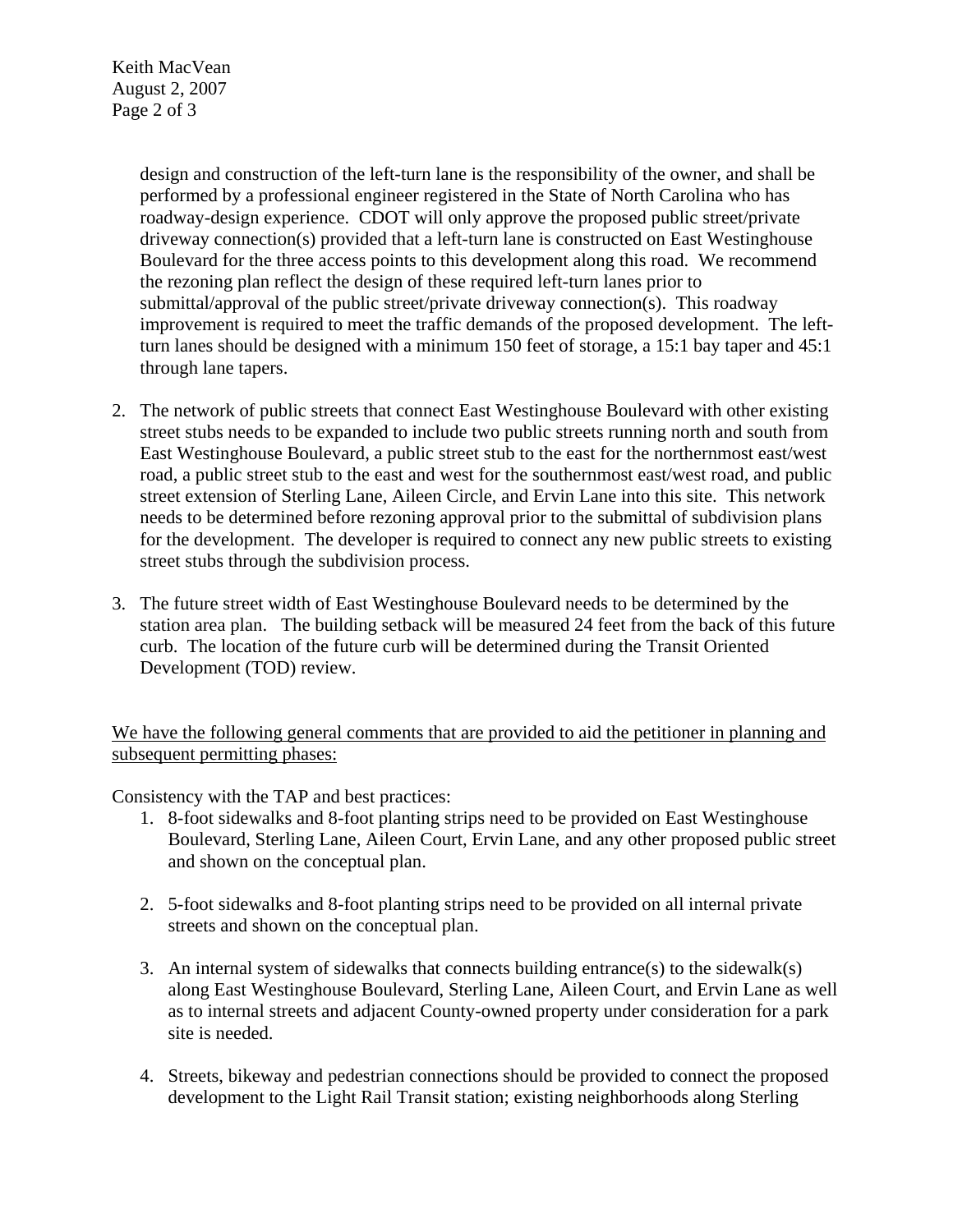Keith MacVean August 2, 2007 Page 2 of 3

> design and construction of the left-turn lane is the responsibility of the owner, and shall be performed by a professional engineer registered in the State of North Carolina who has roadway-design experience. CDOT will only approve the proposed public street/private driveway connection(s) provided that a left-turn lane is constructed on East Westinghouse Boulevard for the three access points to this development along this road. We recommend the rezoning plan reflect the design of these required left-turn lanes prior to submittal/approval of the public street/private driveway connection(s). This roadway improvement is required to meet the traffic demands of the proposed development. The leftturn lanes should be designed with a minimum 150 feet of storage, a 15:1 bay taper and 45:1 through lane tapers.

- 2. The network of public streets that connect East Westinghouse Boulevard with other existing street stubs needs to be expanded to include two public streets running north and south from East Westinghouse Boulevard, a public street stub to the east for the northernmost east/west road, a public street stub to the east and west for the southernmost east/west road, and public street extension of Sterling Lane, Aileen Circle, and Ervin Lane into this site. This network needs to be determined before rezoning approval prior to the submittal of subdivision plans for the development. The developer is required to connect any new public streets to existing street stubs through the subdivision process.
- 3. The future street width of East Westinghouse Boulevard needs to be determined by the station area plan. The building setback will be measured 24 feet from the back of this future curb. The location of the future curb will be determined during the Transit Oriented Development (TOD) review.

We have the following general comments that are provided to aid the petitioner in planning and subsequent permitting phases:

Consistency with the TAP and best practices:

- 1. 8-foot sidewalks and 8-foot planting strips need to be provided on East Westinghouse Boulevard, Sterling Lane, Aileen Court, Ervin Lane, and any other proposed public street and shown on the conceptual plan.
- 2. 5-foot sidewalks and 8-foot planting strips need to be provided on all internal private streets and shown on the conceptual plan.
- 3. An internal system of sidewalks that connects building entrance(s) to the sidewalk(s) along East Westinghouse Boulevard, Sterling Lane, Aileen Court, and Ervin Lane as well as to internal streets and adjacent County-owned property under consideration for a park site is needed.
- 4. Streets, bikeway and pedestrian connections should be provided to connect the proposed development to the Light Rail Transit station; existing neighborhoods along Sterling